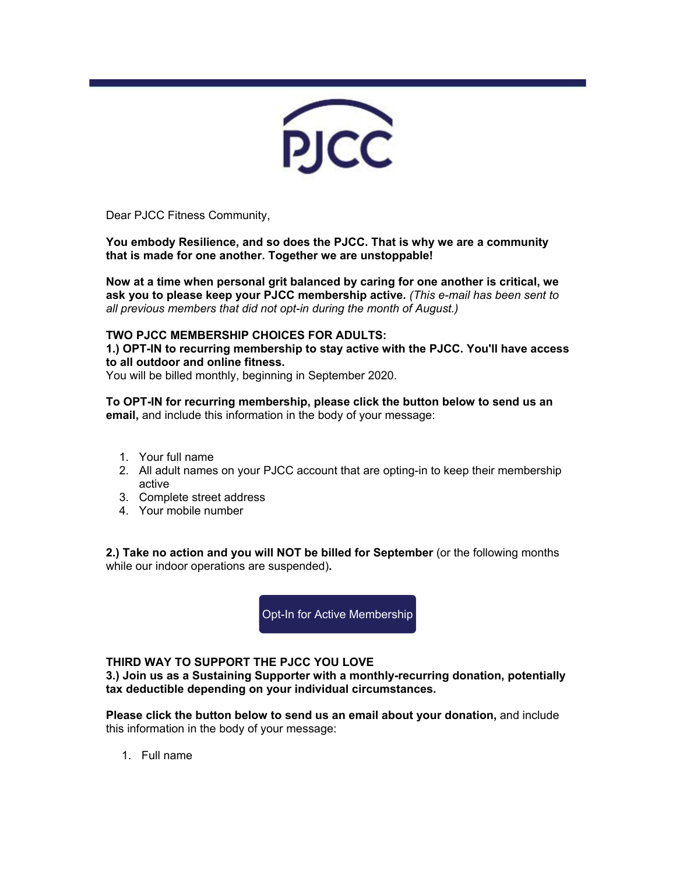

Dear PJCC Fitness Community,

**You embody Resilience, and so does the PJCC. That is why we are a community that is made for one another. Together we are unstoppable!** 

**Now at a time when personal grit balanced by caring for one another is critical, we ask you to please keep your PJCC membership active.** *(This e-mail has been sent to all previous members that did not opt-in during the month of August.)* 

## **TWO PJCC MEMBERSHIP CHOICES FOR ADULTS:**

**1.) OPT-IN to recurring membership to stay active with the PJCC. You'll have access to all outdoor and online fitness.**

You will be billed monthly, beginning in September 2020.

**To OPT-IN for recurring membership, please click the button below to send us an email,** and include this information in the body of your message:

- 1. Your full name
- 2. All adult names on your PJCC account that are opting-in to keep their membership active
- 3. Complete street address
- 4. Your mobile number

**2.) Take no action and you will NOT be billed for September** (or the following months while our indoor operations are suspended)**.**

[Opt-In for Active Membership](mailto:MembershipOptIn@pjcc.org?subject=Membership-Opt-In) 

## **THIRD WAY TO SUPPORT THE PJCC YOU LOVE**

**3.) Join us as a Sustaining Supporter with a monthly-recurring donation, potentially tax deductible depending on your individual circumstances.** 

**Please click the button below to send us an email about your donation,** and include this information in the body of your message:

1. Full name